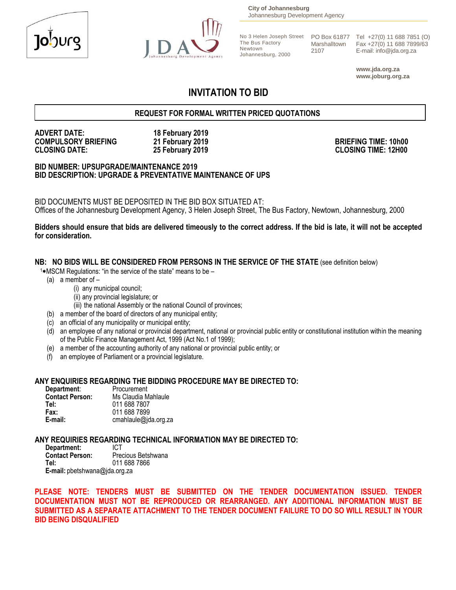



**City of Johannesburg** Johannesburg Development Agency

The Bus Factory Newtown Johannesburg, 2000 Marshalltown 2107

No 3 Helen Joseph Street PO Box 61877 Tel +27(0) 11 688 7851 (O) Fax +27(0) 11 688 7899/63 E-mail: info@jda.org.za

> **www.jda.org.za www.joburg.org.za**

# **INVITATION TO BID**

### **REQUEST FOR FORMAL WRITTEN PRICED QUOTATIONS**

# **ADVERT DATE: 18 February 2019 COMPULSORY BRIEFING 21 February 2019 BRIEFING TIME: 10h00**

**CLOSING DATE: 25 February 2019 CLOSING TIME: 12H00**

**BID NUMBER: UPSUPGRADE/MAINTENANCE 2019 BID DESCRIPTION: UPGRADE & PREVENTATIVE MAINTENANCE OF UPS**

BID DOCUMENTS MUST BE DEPOSITED IN THE BID BOX SITUATED AT: Offices of the Johannesburg Development Agency, 3 Helen Joseph Street, The Bus Factory, Newtown, Johannesburg, 2000

#### **Bidders should ensure that bids are delivered timeously to the correct address. If the bid is late, it will not be accepted for consideration.**

#### **NB: NO BIDS WILL BE CONSIDERED FROM PERSONS IN THE SERVICE OF THE STATE** (see definition below)

- $1*$ MSCM Regulations: "in the service of the state" means to be  $-$ 
	- (a) a member of
		- (i) any municipal council;
		- (ii) any provincial legislature; or
		- (iii) the national Assembly or the national Council of provinces;
	- (b) a member of the board of directors of any municipal entity;
	- (c) an official of any municipality or municipal entity;
	- (d) an employee of any national or provincial department, national or provincial public entity or constitutional institution within the meaning of the Public Finance Management Act, 1999 (Act No.1 of 1999);
	- (e) a member of the accounting authority of any national or provincial public entity; or
	- (f) an employee of Parliament or a provincial legislature.

#### **ANY ENQUIRIES REGARDING THE BIDDING PROCEDURE MAY BE DIRECTED TO:**

| Department:            | Procurement          |
|------------------------|----------------------|
| <b>Contact Person:</b> | Ms Claudia Mahlaule  |
| Tel:                   | 011 688 7807         |
| Fax:                   | 011 688 7899         |
| E-mail:                | cmahlaule@jda.org.za |

### **ANY REQUIRIES REGARDING TECHNICAL INFORMATION MAY BE DIRECTED TO:**

**Department:** ICT<br>**Contact Person:** Prec **Contact Person:** Precious Betshwana<br>Tel: 011.688.7866 **Tel:** 011 688 7866 **E-mail:** pbetshwana@jda.org.za

**PLEASE NOTE: TENDERS MUST BE SUBMITTED ON THE TENDER DOCUMENTATION ISSUED. TENDER DOCUMENTATION MUST NOT BE REPRODUCED OR REARRANGED. ANY ADDITIONAL INFORMATION MUST BE SUBMITTED AS A SEPARATE ATTACHMENT TO THE TENDER DOCUMENT FAILURE TO DO SO WILL RESULT IN YOUR BID BEING DISQUALIFIED**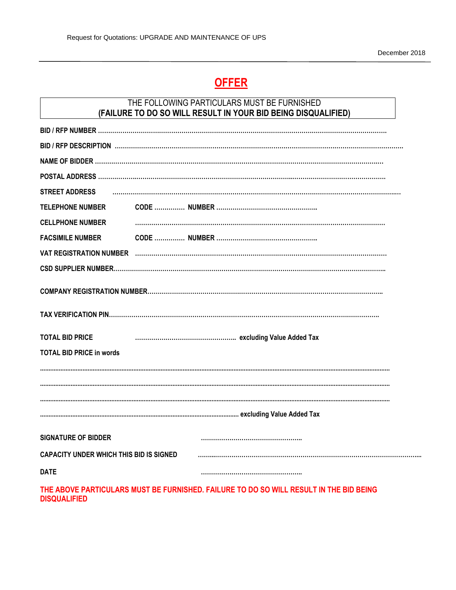# **OFFER**

# THE FOLLOWING PARTICULARS MUST BE FURNISHED **(FAILURE TO DO SO WILL RESULT IN YOUR BID BEING DISQUALIFIED)**

| <b>STREET ADDRESS</b>                   |  |  |
|-----------------------------------------|--|--|
| <b>TELEPHONE NUMBER</b>                 |  |  |
| <b>CELLPHONE NUMBER</b>                 |  |  |
| <b>FACSIMILE NUMBER</b>                 |  |  |
|                                         |  |  |
|                                         |  |  |
|                                         |  |  |
|                                         |  |  |
|                                         |  |  |
| <b>TOTAL BID PRICE</b>                  |  |  |
| <b>TOTAL BID PRICE in words</b>         |  |  |
|                                         |  |  |
|                                         |  |  |
|                                         |  |  |
|                                         |  |  |
| <b>SIGNATURE OF BIDDER</b>              |  |  |
| CAPACITY UNDER WHICH THIS BID IS SIGNED |  |  |
| <b>DATE</b>                             |  |  |

**THE ABOVE PARTICULARS MUST BE FURNISHED. FAILURE TO DO SO WILL RESULT IN THE BID BEING DISQUALIFIED**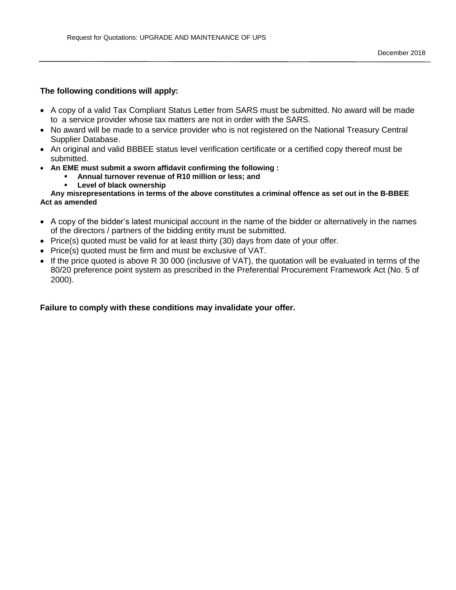### **The following conditions will apply:**

- A copy of a valid Tax Compliant Status Letter from SARS must be submitted. No award will be made to a service provider whose tax matters are not in order with the SARS.
- No award will be made to a service provider who is not registered on the National Treasury Central Supplier Database.
- An original and valid BBBEE status level verification certificate or a certified copy thereof must be submitted.
- **An EME must submit a sworn affidavit confirming the following :** 
	- **Annual turnover revenue of R10 million or less; and**
	- **Level of black ownership**

#### **Any misrepresentations in terms of the above constitutes a criminal offence as set out in the B-BBEE Act as amended**

- A copy of the bidder's latest municipal account in the name of the bidder or alternatively in the names of the directors / partners of the bidding entity must be submitted.
- $\bullet$  Price(s) quoted must be valid for at least thirty (30) days from date of your offer.
- Price(s) quoted must be firm and must be exclusive of VAT.
- If the price quoted is above R 30 000 (inclusive of VAT), the quotation will be evaluated in terms of the 80/20 preference point system as prescribed in the Preferential Procurement Framework Act (No. 5 of 2000).

#### **Failure to comply with these conditions may invalidate your offer.**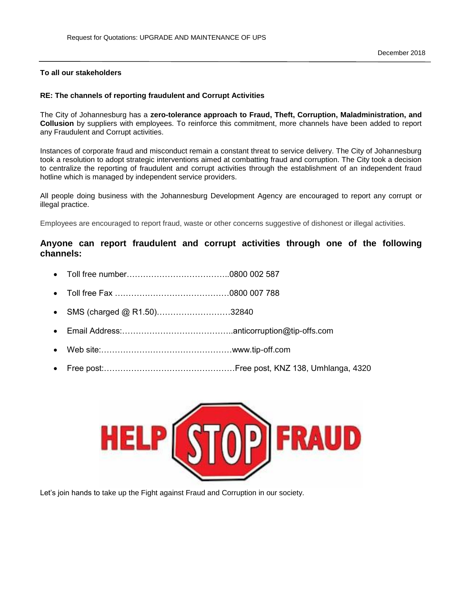#### **To all our stakeholders**

#### **RE: The channels of reporting fraudulent and Corrupt Activities**

The City of Johannesburg has a **zero-tolerance approach to Fraud, Theft, Corruption, Maladministration, and Collusion** by suppliers with employees. To reinforce this commitment, more channels have been added to report any Fraudulent and Corrupt activities.

Instances of corporate fraud and misconduct remain a constant threat to service delivery. The City of Johannesburg took a resolution to adopt strategic interventions aimed at combatting fraud and corruption. The City took a decision to centralize the reporting of fraudulent and corrupt activities through the establishment of an independent fraud hotline which is managed by independent service providers.

All people doing business with the Johannesburg Development Agency are encouraged to report any corrupt or illegal practice.

Employees are encouraged to report fraud, waste or other concerns suggestive of dishonest or illegal activities.

### **Anyone can report fraudulent and corrupt activities through one of the following channels:**

- Toll free number………………………………..0800 002 587
- Toll free Fax ……………………………………0800 007 788
- SMS (charged @ R1.50)………………………32840
- Email Address:…………………………………..anticorruption@tip-offs.com
- Web site:…………………………………………www.tip-off.com
- Free post:…………………………………………Free post, KNZ 138, Umhlanga, 4320



Let's join hands to take up the Fight against Fraud and Corruption in our society.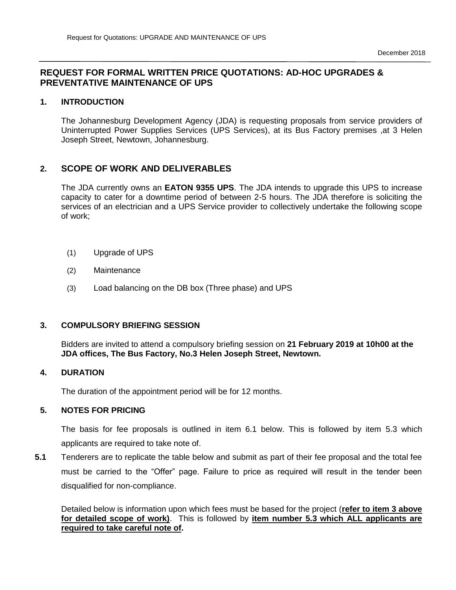# **REQUEST FOR FORMAL WRITTEN PRICE QUOTATIONS: AD-HOC UPGRADES & PREVENTATIVE MAINTENANCE OF UPS**

### **1. INTRODUCTION**

The Johannesburg Development Agency (JDA) is requesting proposals from service providers of Uninterrupted Power Supplies Services (UPS Services), at its Bus Factory premises ,at 3 Helen Joseph Street, Newtown, Johannesburg.

# **2. SCOPE OF WORK AND DELIVERABLES**

The JDA currently owns an **EATON 9355 UPS**. The JDA intends to upgrade this UPS to increase capacity to cater for a downtime period of between 2-5 hours. The JDA therefore is soliciting the services of an electrician and a UPS Service provider to collectively undertake the following scope of work;

- (1) Upgrade of UPS
- (2) Maintenance
- (3) Load balancing on the DB box (Three phase) and UPS

### **3. COMPULSORY BRIEFING SESSION**

Bidders are invited to attend a compulsory briefing session on **21 February 2019 at 10h00 at the JDA offices, The Bus Factory, No.3 Helen Joseph Street, Newtown.**

### **4. DURATION**

The duration of the appointment period will be for 12 months.

### **5. NOTES FOR PRICING**

The basis for fee proposals is outlined in item 6.1 below. This is followed by item 5.3 which applicants are required to take note of.

**5.1** Tenderers are to replicate the table below and submit as part of their fee proposal and the total fee must be carried to the "Offer" page. Failure to price as required will result in the tender been disqualified for non-compliance.

Detailed below is information upon which fees must be based for the project (**refer to item 3 above for detailed scope of work)**. This is followed by **item number 5.3 which ALL applicants are required to take careful note of.**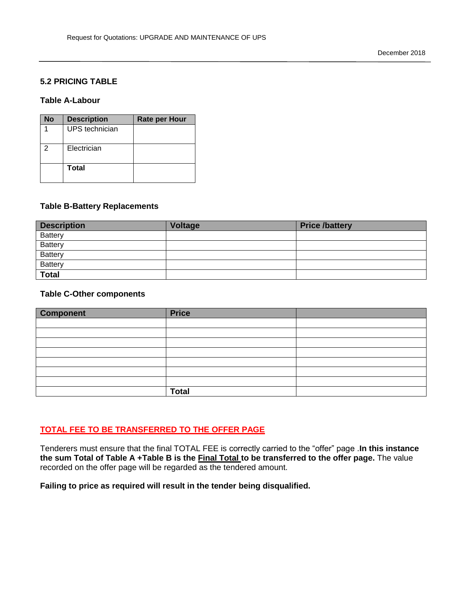### **5.2 PRICING TABLE**

#### **Table A-Labour**

| No | <b>Description</b> | <b>Rate per Hour</b> |
|----|--------------------|----------------------|
|    | UPS technician     |                      |
| 2  | Electrician        |                      |
|    | Total              |                      |

#### **Table B-Battery Replacements**

| <b>Description</b> | <b>Voltage</b> | <b>Price /battery</b> |
|--------------------|----------------|-----------------------|
| <b>Battery</b>     |                |                       |
| <b>Battery</b>     |                |                       |
| Battery            |                |                       |
| <b>Battery</b>     |                |                       |
| <b>Total</b>       |                |                       |

#### **Table C-Other components**

| <b>Component</b> | <b>Price</b> |  |
|------------------|--------------|--|
|                  |              |  |
|                  |              |  |
|                  |              |  |
|                  |              |  |
|                  |              |  |
|                  |              |  |
|                  |              |  |
|                  | <b>Total</b> |  |

### **TOTAL FEE TO BE TRANSFERRED TO THE OFFER PAGE**

Tenderers must ensure that the final TOTAL FEE is correctly carried to the "offer" page .**In this instance the sum Total of Table A +Table B is the Final Total to be transferred to the offer page.** The value recorded on the offer page will be regarded as the tendered amount.

**Failing to price as required will result in the tender being disqualified.**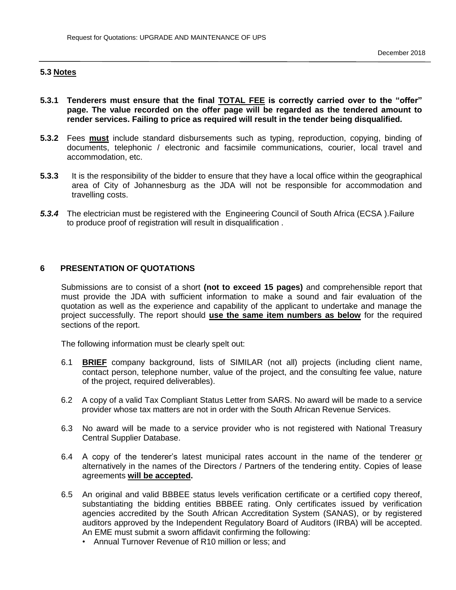### **5.3 Notes**

- **5.3.1 Tenderers must ensure that the final TOTAL FEE is correctly carried over to the "offer" page. The value recorded on the offer page will be regarded as the tendered amount to render services. Failing to price as required will result in the tender being disqualified.**
- **5.3.2** Fees **must** include standard disbursements such as typing, reproduction, copying, binding of documents, telephonic / electronic and facsimile communications, courier, local travel and accommodation, etc.
- **5.3.3** It is the responsibility of the bidder to ensure that they have a local office within the geographical area of City of Johannesburg as the JDA will not be responsible for accommodation and travelling costs.
- *5.3.4* The electrician must be registered with the Engineering Council of South Africa (ECSA ).Failure to produce proof of registration will result in disqualification .

#### **6 PRESENTATION OF QUOTATIONS**

Submissions are to consist of a short **(not to exceed 15 pages)** and comprehensible report that must provide the JDA with sufficient information to make a sound and fair evaluation of the quotation as well as the experience and capability of the applicant to undertake and manage the project successfully. The report should **use the same item numbers as below** for the required sections of the report.

The following information must be clearly spelt out:

- 6.1 **BRIEF** company background, lists of SIMILAR (not all) projects (including client name, contact person, telephone number, value of the project, and the consulting fee value, nature of the project, required deliverables).
- 6.2 A copy of a valid Tax Compliant Status Letter from SARS. No award will be made to a service provider whose tax matters are not in order with the South African Revenue Services.
- 6.3 No award will be made to a service provider who is not registered with National Treasury Central Supplier Database.
- 6.4 A copy of the tenderer's latest municipal rates account in the name of the tenderer or alternatively in the names of the Directors / Partners of the tendering entity. Copies of lease agreements **will be accepted.**
- 6.5 An original and valid BBBEE status levels verification certificate or a certified copy thereof, substantiating the bidding entities BBBEE rating. Only certificates issued by verification agencies accredited by the South African Accreditation System (SANAS), or by registered auditors approved by the Independent Regulatory Board of Auditors (IRBA) will be accepted. An EME must submit a sworn affidavit confirming the following:
	- Annual Turnover Revenue of R10 million or less; and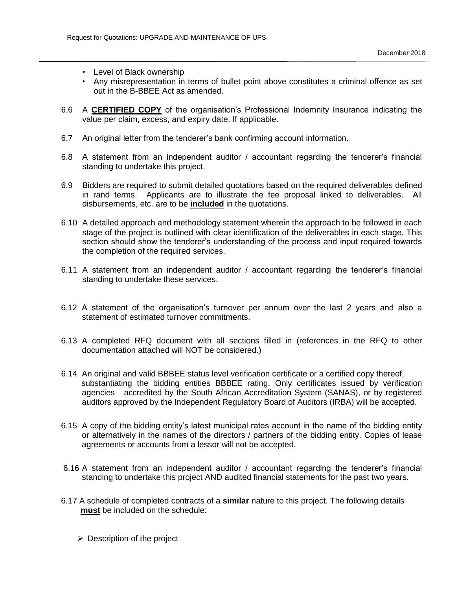- Level of Black ownership
- Any misrepresentation in terms of bullet point above constitutes a criminal offence as set out in the B-BBEE Act as amended.
- 6.6 A **CERTIFIED COPY** of the organisation's Professional Indemnity Insurance indicating the value per claim, excess, and expiry date. If applicable.
- 6.7 An original letter from the tenderer's bank confirming account information.
- 6.8 A statement from an independent auditor / accountant regarding the tenderer's financial standing to undertake this project.
- 6.9 Bidders are required to submit detailed quotations based on the required deliverables defined in rand terms. Applicants are to illustrate the fee proposal linked to deliverables. All disbursements, etc. are to be **included** in the quotations.
- 6.10 A detailed approach and methodology statement wherein the approach to be followed in each stage of the project is outlined with clear identification of the deliverables in each stage. This section should show the tenderer's understanding of the process and input required towards the completion of the required services.
- 6.11 A statement from an independent auditor / accountant regarding the tenderer's financial standing to undertake these services.
- 6.12 A statement of the organisation's turnover per annum over the last 2 years and also a statement of estimated turnover commitments.
- 6.13 A completed RFQ document with all sections filled in (references in the RFQ to other documentation attached will NOT be considered.)
- 6.14 An original and valid BBBEE status level verification certificate or a certified copy thereof, substantiating the bidding entities BBBEE rating. Only certificates issued by verification agencies accredited by the South African Accreditation System (SANAS), or by registered auditors approved by the Independent Regulatory Board of Auditors (IRBA) will be accepted.
- 6.15 A copy of the bidding entity's latest municipal rates account in the name of the bidding entity or alternatively in the names of the directors / partners of the bidding entity. Copies of lease agreements or accounts from a lessor will not be accepted.
- 6.16 A statement from an independent auditor / accountant regarding the tenderer's financial standing to undertake this project AND audited financial statements for the past two years.
- 6.17 A schedule of completed contracts of a **similar** nature to this project. The following details  **must** be included on the schedule:
	- $\triangleright$  Description of the project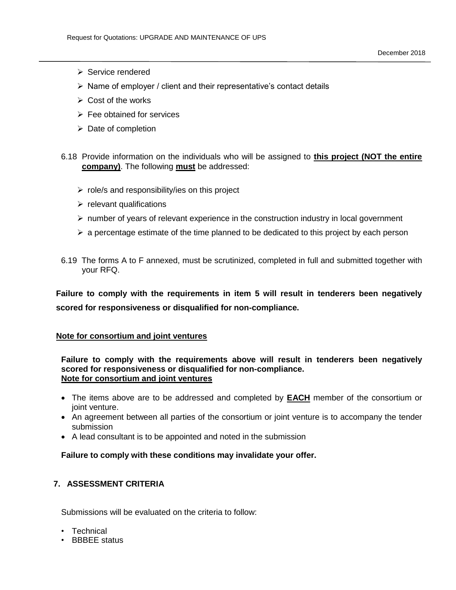- $\triangleright$  Service rendered
- $\triangleright$  Name of employer / client and their representative's contact details
- $\triangleright$  Cost of the works
- $\triangleright$  Fee obtained for services
- $\triangleright$  Date of completion
- 6.18 Provide information on the individuals who will be assigned to **this project (NOT the entire company)**. The following **must** be addressed:
	- $\triangleright$  role/s and responsibility/ies on this project
	- $\triangleright$  relevant qualifications
	- $\triangleright$  number of years of relevant experience in the construction industry in local government
	- $\triangleright$  a percentage estimate of the time planned to be dedicated to this project by each person
- 6.19 The forms A to F annexed, must be scrutinized, completed in full and submitted together with your RFQ.

**Failure to comply with the requirements in item 5 will result in tenderers been negatively scored for responsiveness or disqualified for non-compliance.**

#### **Note for consortium and joint ventures**

**Failure to comply with the requirements above will result in tenderers been negatively scored for responsiveness or disqualified for non-compliance. Note for consortium and joint ventures**

- The items above are to be addressed and completed by **EACH** member of the consortium or joint venture.
- An agreement between all parties of the consortium or joint venture is to accompany the tender submission
- A lead consultant is to be appointed and noted in the submission

**Failure to comply with these conditions may invalidate your offer.**

### **7. ASSESSMENT CRITERIA**

Submissions will be evaluated on the criteria to follow:

- Technical
- BBBEE status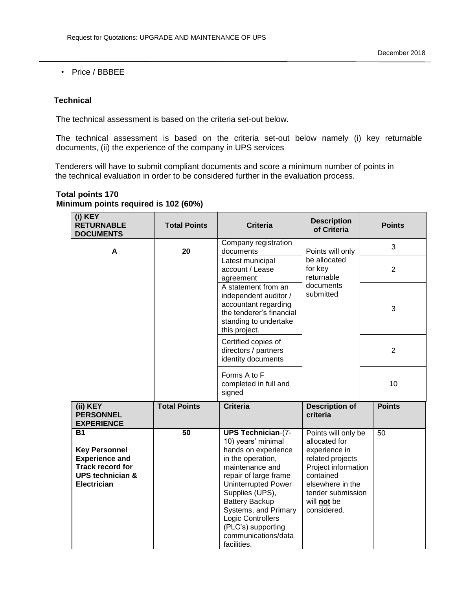• Price / BBBEE

### **Technical**

The technical assessment is based on the criteria set-out below.

The technical assessment is based on the criteria set-out below namely (i) key returnable documents, (ii) the experience of the company in UPS services

 Tenderers will have to submit compliant documents and score a minimum number of points in the technical evaluation in order to be considered further in the evaluation process.

| (i) KEY<br><b>RETURNABLE</b><br><b>DOCUMENTS</b>                                                                                           | <b>Total Points</b> | <b>Criteria</b>                                                                                                                                                                                                                                                                                                            | <b>Description</b><br>of Criteria                                                                                                                                                    | <b>Points</b>  |
|--------------------------------------------------------------------------------------------------------------------------------------------|---------------------|----------------------------------------------------------------------------------------------------------------------------------------------------------------------------------------------------------------------------------------------------------------------------------------------------------------------------|--------------------------------------------------------------------------------------------------------------------------------------------------------------------------------------|----------------|
| A                                                                                                                                          | 20                  | Company registration<br>documents                                                                                                                                                                                                                                                                                          | Points will only                                                                                                                                                                     | 3              |
|                                                                                                                                            |                     | Latest municipal<br>account / Lease<br>agreement                                                                                                                                                                                                                                                                           | be allocated<br>for key<br>returnable                                                                                                                                                | $\overline{2}$ |
|                                                                                                                                            |                     | A statement from an<br>independent auditor /<br>accountant regarding<br>the tenderer's financial<br>standing to undertake<br>this project.                                                                                                                                                                                 | documents<br>submitted                                                                                                                                                               | 3              |
|                                                                                                                                            |                     | Certified copies of<br>directors / partners<br>identity documents                                                                                                                                                                                                                                                          |                                                                                                                                                                                      | $\overline{2}$ |
|                                                                                                                                            |                     | Forms A to F<br>completed in full and<br>signed                                                                                                                                                                                                                                                                            |                                                                                                                                                                                      | 10             |
| (ii) KEY<br><b>PERSONNEL</b><br><b>EXPERIENCE</b>                                                                                          | <b>Total Points</b> | <b>Criteria</b>                                                                                                                                                                                                                                                                                                            | <b>Description of</b><br>criteria                                                                                                                                                    | <b>Points</b>  |
| <b>B1</b><br><b>Key Personnel</b><br><b>Experience and</b><br><b>Track record for</b><br><b>UPS technician &amp;</b><br><b>Electrician</b> | $\overline{50}$     | <b>UPS Technician-(7-</b><br>10) years' minimal<br>hands on experience<br>in the operation,<br>maintenance and<br>repair of large frame<br><b>Uninterrupted Power</b><br>Supplies (UPS),<br><b>Battery Backup</b><br>Systems, and Primary<br>Logic Controllers<br>(PLC's) supporting<br>communications/data<br>facilities. | Points will only be<br>allocated for<br>experience in<br>related projects<br>Project information<br>contained<br>elsewhere in the<br>tender submission<br>will not be<br>considered. | 50             |

### **Total points 170 Minimum points required is 102 (60%)**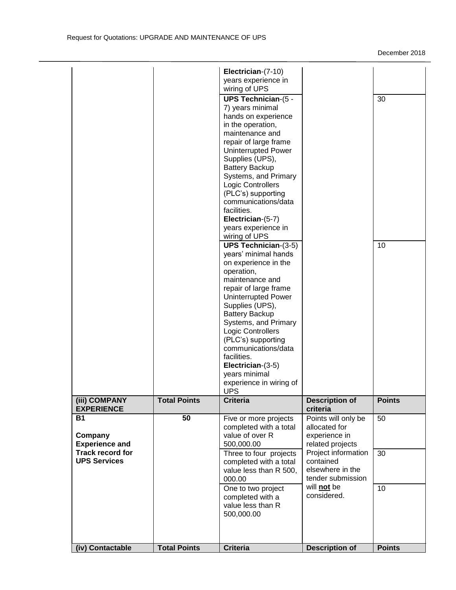|                                                |                     | Electrician-(7-10)<br>years experience in<br>wiring of UPS<br><b>UPS Technician-(5 -</b><br>7) years minimal<br>hands on experience<br>in the operation,<br>maintenance and<br>repair of large frame<br><b>Uninterrupted Power</b><br>Supplies (UPS),<br><b>Battery Backup</b><br>Systems, and Primary<br>Logic Controllers<br>(PLC's) supporting<br>communications/data<br>facilities.<br>Electrician-(5-7)<br>years experience in<br>wiring of UPS<br><b>UPS Technician-(3-5)</b><br>years' minimal hands |                                                                           | 30<br>10      |
|------------------------------------------------|---------------------|-------------------------------------------------------------------------------------------------------------------------------------------------------------------------------------------------------------------------------------------------------------------------------------------------------------------------------------------------------------------------------------------------------------------------------------------------------------------------------------------------------------|---------------------------------------------------------------------------|---------------|
| (iii) COMPANY                                  | <b>Total Points</b> | on experience in the<br>operation,<br>maintenance and<br>repair of large frame<br><b>Uninterrupted Power</b><br>Supplies (UPS),<br><b>Battery Backup</b><br>Systems, and Primary<br>Logic Controllers<br>(PLC's) supporting<br>communications/data<br>facilities.<br>Electrician-(3-5)<br>years minimal<br>experience in wiring of<br><b>UPS</b><br><b>Criteria</b>                                                                                                                                         | <b>Description of</b>                                                     | <b>Points</b> |
| <b>EXPERIENCE</b>                              |                     |                                                                                                                                                                                                                                                                                                                                                                                                                                                                                                             | criteria                                                                  |               |
| <b>B1</b><br>Company<br><b>Experience and</b>  | 50                  | Five or more projects<br>completed with a total<br>value of over R<br>500,000.00                                                                                                                                                                                                                                                                                                                                                                                                                            | Points will only be<br>allocated for<br>experience in<br>related projects | 50            |
| <b>Track record for</b><br><b>UPS Services</b> |                     | Three to four projects<br>completed with a total<br>value less than R 500,<br>000.00                                                                                                                                                                                                                                                                                                                                                                                                                        | Project information<br>contained<br>elsewhere in the<br>tender submission | 30            |
|                                                |                     | One to two project<br>completed with a<br>value less than R<br>500,000.00                                                                                                                                                                                                                                                                                                                                                                                                                                   | will not be<br>considered.                                                | 10            |
| (iv) Contactable                               | <b>Total Points</b> | <b>Criteria</b>                                                                                                                                                                                                                                                                                                                                                                                                                                                                                             | <b>Description of</b>                                                     | <b>Points</b> |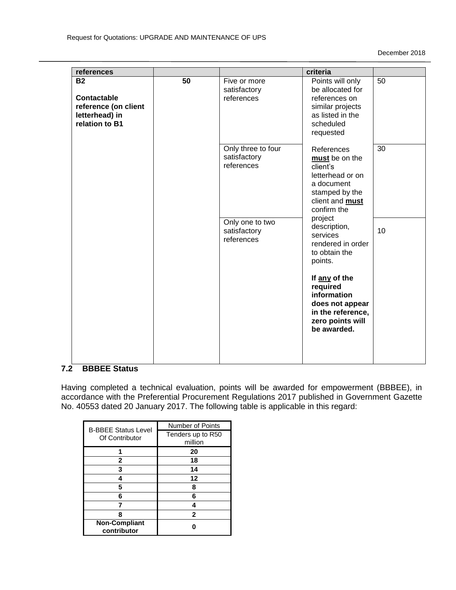| references                                                                           |    |                                                  | criteria                                                                                                                       |                 |
|--------------------------------------------------------------------------------------|----|--------------------------------------------------|--------------------------------------------------------------------------------------------------------------------------------|-----------------|
| <b>B2</b><br>Contactable<br>reference (on client<br>letterhead) in<br>relation to B1 | 50 | Five or more<br>satisfactory<br>references       | Points will only<br>be allocated for<br>references on<br>similar projects<br>as listed in the<br>scheduled<br>requested        | $\overline{50}$ |
|                                                                                      |    | Only three to four<br>satisfactory<br>references | References<br>must be on the<br>client's<br>letterhead or on<br>a document<br>stamped by the<br>client and must<br>confirm the | 30              |
|                                                                                      |    | Only one to two<br>satisfactory<br>references    | project<br>description,<br>services<br>rendered in order<br>to obtain the<br>points.                                           | 10              |
|                                                                                      |    |                                                  | If any of the<br>required<br>information<br>does not appear<br>in the reference,<br>zero points will<br>be awarded.            |                 |
|                                                                                      |    |                                                  |                                                                                                                                |                 |

### **7.2 BBBEE Status**

Having completed a technical evaluation, points will be awarded for empowerment (BBBEE), in accordance with the Preferential Procurement Regulations 2017 published in Government Gazette No. 40553 dated 20 January 2017. The following table is applicable in this regard:

| <b>B-BBEE Status Level</b>          | <b>Number of Points</b> |
|-------------------------------------|-------------------------|
| Of Contributor                      | Tenders up to R50       |
|                                     | million                 |
|                                     | 20                      |
| 2                                   | 18                      |
| 3                                   | 14                      |
|                                     | 12                      |
| 5                                   | 8                       |
| 6                                   | 6                       |
|                                     |                         |
| Զ                                   | 2                       |
| <b>Non-Compliant</b><br>contributor |                         |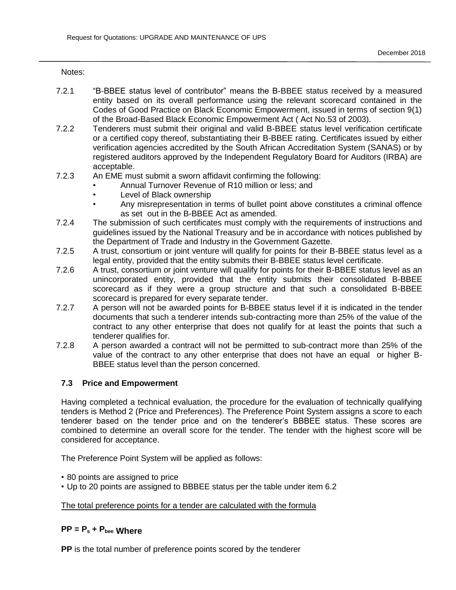Notes:

- 7.2.1 "B-BBEE status level of contributor" means the B-BBEE status received by a measured entity based on its overall performance using the relevant scorecard contained in the Codes of Good Practice on Black Economic Empowerment, issued in terms of section 9(1) of the Broad-Based Black Economic Empowerment Act ( Act No.53 of 2003).
- 7.2.2 Tenderers must submit their original and valid B-BBEE status level verification certificate or a certified copy thereof, substantiating their B-BBEE rating. Certificates issued by either verification agencies accredited by the South African Accreditation System (SANAS) or by registered auditors approved by the Independent Regulatory Board for Auditors (IRBA) are acceptable.
- 7.2.3 An EME must submit a sworn affidavit confirming the following:
	- Annual Turnover Revenue of R10 million or less; and
	- Level of Black ownership
	- Any misrepresentation in terms of bullet point above constitutes a criminal offence as set out in the B-BBEE Act as amended.
- 7.2.4 The submission of such certificates must comply with the requirements of instructions and guidelines issued by the National Treasury and be in accordance with notices published by the Department of Trade and Industry in the Government Gazette.
- 7.2.5 A trust, consortium or joint venture will qualify for points for their B-BBEE status level as a legal entity, provided that the entity submits their B-BBEE status level certificate.
- 7.2.6 A trust, consortium or joint venture will qualify for points for their B-BBEE status level as an unincorporated entity, provided that the entity submits their consolidated B-BBEE scorecard as if they were a group structure and that such a consolidated B-BBEE scorecard is prepared for every separate tender.
- 7.2.7 A person will not be awarded points for B-BBEE status level if it is indicated in the tender documents that such a tenderer intends sub-contracting more than 25% of the value of the contract to any other enterprise that does not qualify for at least the points that such a tenderer qualifies for.
- 7.2.8 A person awarded a contract will not be permitted to sub-contract more than 25% of the value of the contract to any other enterprise that does not have an equal or higher B-BBEE status level than the person concerned.

### **7.3 Price and Empowerment**

Having completed a technical evaluation, the procedure for the evaluation of technically qualifying tenders is Method 2 (Price and Preferences). The Preference Point System assigns a score to each tenderer based on the tender price and on the tenderer's BBBEE status. These scores are combined to determine an overall score for the tender. The tender with the highest score will be considered for acceptance.

The Preference Point System will be applied as follows:

- 80 points are assigned to price
- Up to 20 points are assigned to BBBEE status per the table under item 6.2

#### The total preference points for a tender are calculated with the formula

# **PP = P<sup>s</sup> + Pbee Where**

**PP** is the total number of preference points scored by the tenderer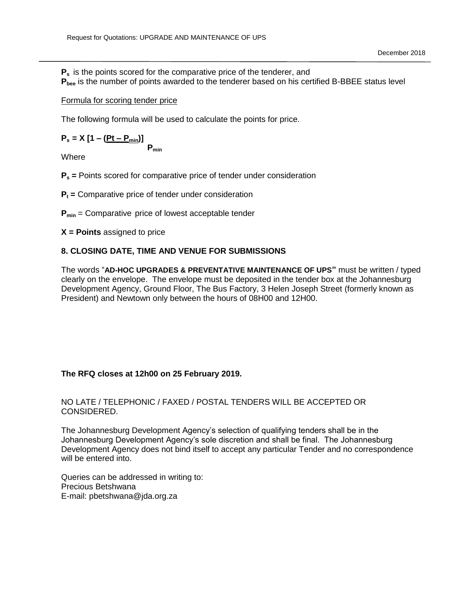**P<sup>s</sup>** is the points scored for the comparative price of the tenderer, and **Pbee** is the number of points awarded to the tenderer based on his certified B-BBEE status level

### Formula for scoring tender price

The following formula will be used to calculate the points for price.

 $P_s = X [1 - (Pt - P_{min})]$ **Pmin**

Where

- **P<sup>s</sup> =** Points scored for comparative price of tender under consideration
- **P<sup>t</sup> =** Comparative price of tender under consideration
- **Pmin** = Comparative price of lowest acceptable tender
- **X = Points** assigned to price

### **8. CLOSING DATE, TIME AND VENUE FOR SUBMISSIONS**

The words "**AD-HOC UPGRADES & PREVENTATIVE MAINTENANCE OF UPS"** must be written / typed clearly on the envelope. The envelope must be deposited in the tender box at the Johannesburg Development Agency, Ground Floor, The Bus Factory, 3 Helen Joseph Street (formerly known as President) and Newtown only between the hours of 08H00 and 12H00.

### **The RFQ closes at 12h00 on 25 February 2019.**

### NO LATE / TELEPHONIC / FAXED / POSTAL TENDERS WILL BE ACCEPTED OR CONSIDERED.

The Johannesburg Development Agency's selection of qualifying tenders shall be in the Johannesburg Development Agency's sole discretion and shall be final. The Johannesburg Development Agency does not bind itself to accept any particular Tender and no correspondence will be entered into.

Queries can be addressed in writing to: Precious Betshwana E-mail: pbetshwana@jda.org.za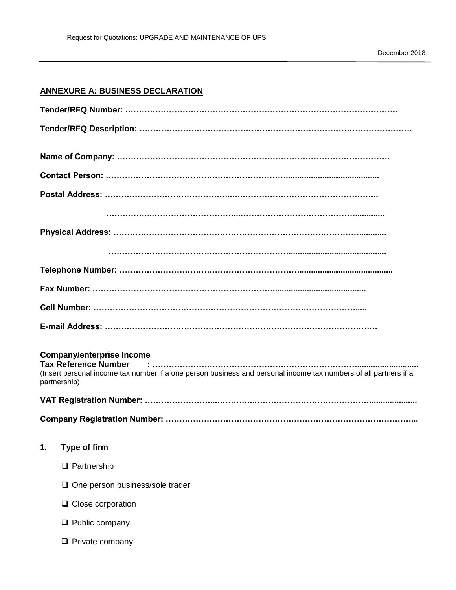# **ANNEXURE A: BUSINESS DECLARATION**

| partnership) | <b>Company/enterprise Income</b><br><b>Tax Reference Number</b><br>(Insert personal income tax number if a one person business and personal income tax numbers of all partners if a |
|--------------|-------------------------------------------------------------------------------------------------------------------------------------------------------------------------------------|
|              |                                                                                                                                                                                     |
|              |                                                                                                                                                                                     |
| 1.           | Type of firm                                                                                                                                                                        |
|              | $\Box$ Partnership                                                                                                                                                                  |
|              | One person business/sole trader                                                                                                                                                     |
|              | $\Box$ Close corporation                                                                                                                                                            |
|              | Public company                                                                                                                                                                      |
|              | $\Box$ Private company                                                                                                                                                              |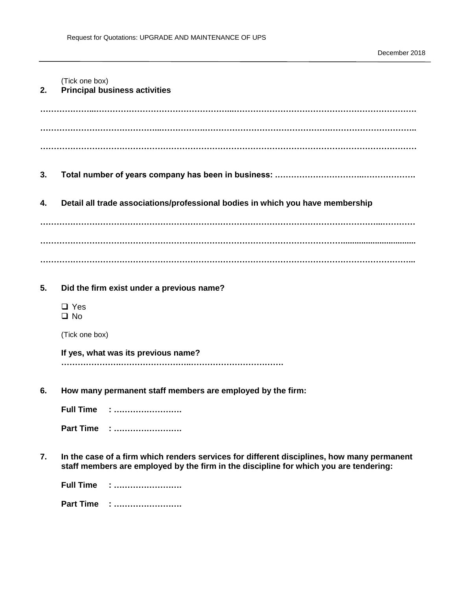| (Tick one box) |  |  |  |  |  |
|----------------|--|--|--|--|--|
|----------------|--|--|--|--|--|

### **2. Principal business activities**

**………………...…………………………………………...…………………………………………………………. ……………………………………...…………….……………………………………….………………………….. …………………………………………………………………………………………………………………………**

- **3. Total number of years company has been in business: .…………………………..……………….**
- **4. Detail all trade associations/professional bodies in which you have membership**

**……………………………………………………………………………………………………………...………… …………………………………………………………………………………………………................................ ………………………………………………………………………………………………………………………...**

#### **5. Did the firm exist under a previous name?**

□ Yes  $\Box$  No

(Tick one box)

**If yes, what was its previous name?** 

**………………….……………………..…………………………….**

**6. How many permanent staff members are employed by the firm:**

**Full Time : ……………………. Part Time : …………………….**

**7. In the case of a firm which renders services for different disciplines, how many permanent staff members are employed by the firm in the discipline for which you are tendering:**

**Full Time : …………………….**

**Part Time : …………………….**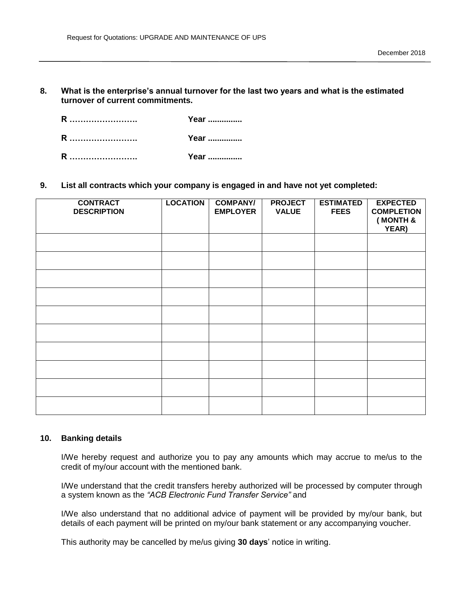**8. What is the enterprise's annual turnover for the last two years and what is the estimated turnover of current commitments.** 

| R | Year |
|---|------|
| R | Year |
| R | Year |

**9. List all contracts which your company is engaged in and have not yet completed:**

| <b>CONTRACT</b><br><b>DESCRIPTION</b> | <b>LOCATION</b> | <b>COMPANY/</b><br><b>EMPLOYER</b> | <b>PROJECT</b><br><b>VALUE</b> | <b>ESTIMATED</b><br><b>FEES</b> | <b>EXPECTED</b><br><b>COMPLETION</b><br>(MONTH &<br>YEAR) |
|---------------------------------------|-----------------|------------------------------------|--------------------------------|---------------------------------|-----------------------------------------------------------|
|                                       |                 |                                    |                                |                                 |                                                           |
|                                       |                 |                                    |                                |                                 |                                                           |
|                                       |                 |                                    |                                |                                 |                                                           |
|                                       |                 |                                    |                                |                                 |                                                           |
|                                       |                 |                                    |                                |                                 |                                                           |
|                                       |                 |                                    |                                |                                 |                                                           |
|                                       |                 |                                    |                                |                                 |                                                           |
|                                       |                 |                                    |                                |                                 |                                                           |
|                                       |                 |                                    |                                |                                 |                                                           |
|                                       |                 |                                    |                                |                                 |                                                           |

#### **10. Banking details**

I/We hereby request and authorize you to pay any amounts which may accrue to me/us to the credit of my/our account with the mentioned bank.

I/We understand that the credit transfers hereby authorized will be processed by computer through a system known as the *"ACB Electronic Fund Transfer Service"* and

I/We also understand that no additional advice of payment will be provided by my/our bank, but details of each payment will be printed on my/our bank statement or any accompanying voucher.

This authority may be cancelled by me/us giving **30 days**' notice in writing.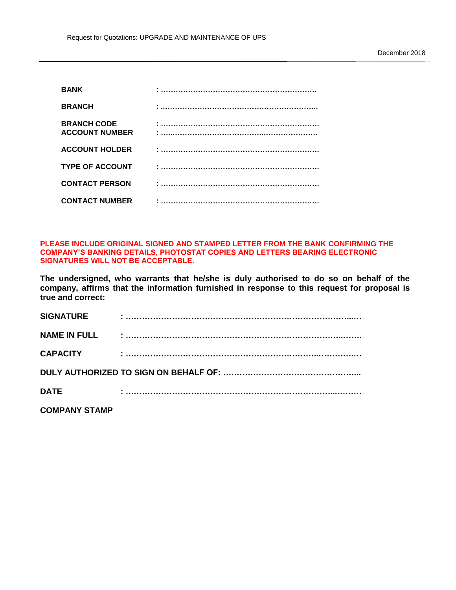| <b>BANK</b>                                 |  |
|---------------------------------------------|--|
| <b>BRANCH</b>                               |  |
| <b>BRANCH CODE</b><br><b>ACCOUNT NUMBER</b> |  |
| <b>ACCOUNT HOLDER</b>                       |  |
| <b>TYPE OF ACCOUNT</b>                      |  |
| <b>CONTACT PERSON</b>                       |  |
| <b>CONTACT NUMBER</b>                       |  |

**PLEASE INCLUDE ORIGINAL SIGNED AND STAMPED LETTER FROM THE BANK CONFIRMING THE COMPANY'S BANKING DETAILS, PHOTOSTAT COPIES AND LETTERS BEARING ELECTRONIC SIGNATURES WILL NOT BE ACCEPTABLE.**

**The undersigned, who warrants that he/she is duly authorised to do so on behalf of the company, affirms that the information furnished in response to this request for proposal is true and correct:**

| <b>SIGNATURE</b> |  |
|------------------|--|
|                  |  |
| <b>CAPACITY</b>  |  |
|                  |  |
| <b>DATE</b>      |  |
|                  |  |

**COMPANY STAMP**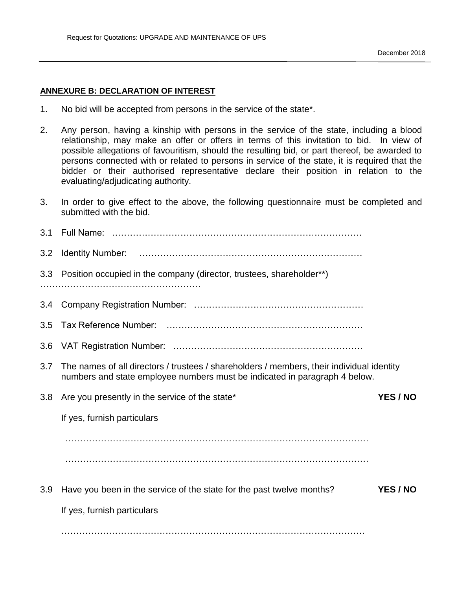### **ANNEXURE B: DECLARATION OF INTEREST**

- 1. No bid will be accepted from persons in the service of the state\*.
- 2. Any person, having a kinship with persons in the service of the state, including a blood relationship, may make an offer or offers in terms of this invitation to bid. In view of possible allegations of favouritism, should the resulting bid, or part thereof, be awarded to persons connected with or related to persons in service of the state, it is required that the bidder or their authorised representative declare their position in relation to the evaluating/adjudicating authority.
- 3. In order to give effect to the above, the following questionnaire must be completed and submitted with the bid.

| 3.2 |                                                                                                                                                                         |  |
|-----|-------------------------------------------------------------------------------------------------------------------------------------------------------------------------|--|
| 3.3 | Position occupied in the company (director, trustees, shareholder**)                                                                                                    |  |
| 3.4 |                                                                                                                                                                         |  |
| 3.5 |                                                                                                                                                                         |  |
| 3.6 |                                                                                                                                                                         |  |
| 3.7 | The names of all directors / trustees / shareholders / members, their individual identity<br>numbers and state employee numbers must be indicated in paragraph 4 below. |  |
| 3.8 | Are you presently in the service of the state*<br>YES / NO                                                                                                              |  |
|     | If yes, furnish particulars                                                                                                                                             |  |
|     |                                                                                                                                                                         |  |
|     |                                                                                                                                                                         |  |
| 3.9 | YES / NO<br>Have you been in the service of the state for the past twelve months?                                                                                       |  |
|     | If yes, furnish particulars                                                                                                                                             |  |
|     |                                                                                                                                                                         |  |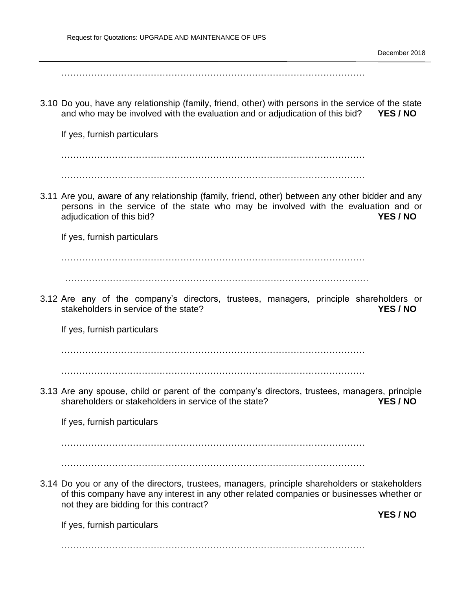$\mathcal{L}^{\text{max}}_{\text{max}}$ 

3.10 Do you, have any relationship (family, friend, other) with persons in the service of the state and who may be involved with the evaluation and or adjudication of this bid? **YES / NO**

If yes, furnish particulars

…………………………………………………………………………………………

…………………………………………………………………………………………

3.11 Are you, aware of any relationship (family, friend, other) between any other bidder and any persons in the service of the state who may be involved with the evaluation and or adjudication of this bid? **YES / NO**

If yes, furnish particulars

…………………………………………………………………………………………

…………………………………………………………………………………………

3.12 Are any of the company's directors, trustees, managers, principle shareholders or stakeholders in service of the state? **YES / NO**

If yes, furnish particulars

…………………………………………………………………………………………

…………………………………………………………………………………………

3.13 Are any spouse, child or parent of the company's directors, trustees, managers, principle shareholders or stakeholders in service of the state? **YES / NO**

If yes, furnish particulars

…………………………………………………………………………………………

…………………………………………………………………………………………

3.14 Do you or any of the directors, trustees, managers, principle shareholders or stakeholders of this company have any interest in any other related companies or businesses whether or not they are bidding for this contract?

If yes, furnish particulars

**YES / NO**

…………………………………………………………………………………………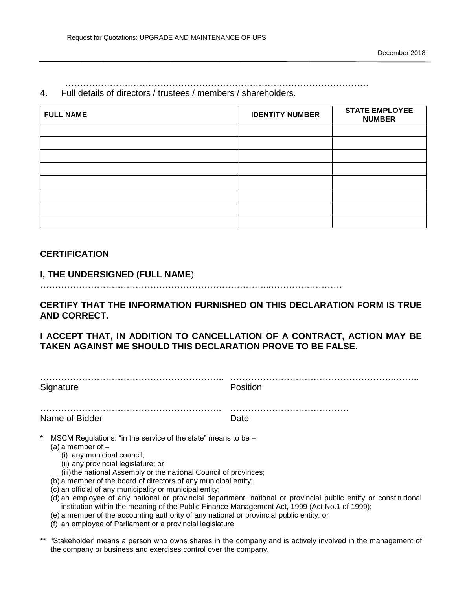#### 4. Full details of directors / trustees / members / shareholders.

| <b>FULL NAME</b> | <b>IDENTITY NUMBER</b> | <b>STATE EMPLOYEE</b><br><b>NUMBER</b> |
|------------------|------------------------|----------------------------------------|
|                  |                        |                                        |
|                  |                        |                                        |
|                  |                        |                                        |
|                  |                        |                                        |
|                  |                        |                                        |
|                  |                        |                                        |
|                  |                        |                                        |
|                  |                        |                                        |

…………………………………………………………………………………………

### **CERTIFICATION**

# **I, THE UNDERSIGNED (FULL NAME**)

…………………………………………………………………...……………………

**CERTIFY THAT THE INFORMATION FURNISHED ON THIS DECLARATION FORM IS TRUE AND CORRECT.** 

# **I ACCEPT THAT, IN ADDITION TO CANCELLATION OF A CONTRACT, ACTION MAY BE TAKEN AGAINST ME SHOULD THIS DECLARATION PROVE TO BE FALSE.**

| Signature                                                                                                                                                                                                                                                                                                                                                                                                                                                                | Position                                                                                                         |
|--------------------------------------------------------------------------------------------------------------------------------------------------------------------------------------------------------------------------------------------------------------------------------------------------------------------------------------------------------------------------------------------------------------------------------------------------------------------------|------------------------------------------------------------------------------------------------------------------|
| Name of Bidder                                                                                                                                                                                                                                                                                                                                                                                                                                                           | Date                                                                                                             |
| $\ast$<br>MSCM Regulations: "in the service of the state" means to be -<br>(a) a member of $-$<br>(i) any municipal council;<br>(ii) any provincial legislature; or<br>(iii) the national Assembly or the national Council of provinces;<br>(b) a member of the board of directors of any municipal entity;<br>(c) an official of any municipality or municipal entity;<br>institution within the meaning of the Public Finance Management Act, 1999 (Act No.1 of 1999); | (d) an employee of any national or provincial department, national or provincial public entity or constitutional |

- (e) a member of the accounting authority of any national or provincial public entity; or
- (f) an employee of Parliament or a provincial legislature.
- \*\* "Stakeholder' means a person who owns shares in the company and is actively involved in the management of the company or business and exercises control over the company.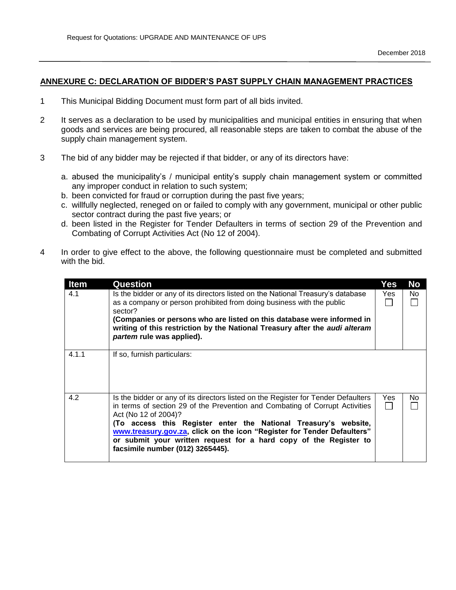#### **ANNEXURE C: DECLARATION OF BIDDER'S PAST SUPPLY CHAIN MANAGEMENT PRACTICES**

- 1 This Municipal Bidding Document must form part of all bids invited.
- 2 It serves as a declaration to be used by municipalities and municipal entities in ensuring that when goods and services are being procured, all reasonable steps are taken to combat the abuse of the supply chain management system.
- 3 The bid of any bidder may be rejected if that bidder, or any of its directors have:
	- a. abused the municipality's / municipal entity's supply chain management system or committed any improper conduct in relation to such system;
	- b. been convicted for fraud or corruption during the past five years;
	- c. willfully neglected, reneged on or failed to comply with any government, municipal or other public sector contract during the past five years; or
	- d. been listed in the Register for Tender Defaulters in terms of section 29 of the Prevention and Combating of Corrupt Activities Act (No 12 of 2004).
- 4 In order to give effect to the above, the following questionnaire must be completed and submitted with the bid.

| <b>Item</b> | Question                                                                                                                                                                                                                                                                                                                                                                                                                                          | Yes | No  |
|-------------|---------------------------------------------------------------------------------------------------------------------------------------------------------------------------------------------------------------------------------------------------------------------------------------------------------------------------------------------------------------------------------------------------------------------------------------------------|-----|-----|
| 4.1         | Is the bidder or any of its directors listed on the National Treasury's database<br>as a company or person prohibited from doing business with the public<br>sector?<br>(Companies or persons who are listed on this database were informed in<br>writing of this restriction by the National Treasury after the audi alteram<br>partem rule was applied).                                                                                        | Yes | No. |
| 4.1.1       | If so, furnish particulars:                                                                                                                                                                                                                                                                                                                                                                                                                       |     |     |
| 4.2         | Is the bidder or any of its directors listed on the Register for Tender Defaulters<br>in terms of section 29 of the Prevention and Combating of Corrupt Activities<br>Act (No 12 of 2004)?<br>(To access this Register enter the National Treasury's website,<br>www.treasury.gov.za, click on the icon "Register for Tender Defaulters"<br>or submit your written request for a hard copy of the Register to<br>facsimile number (012) 3265445). | Yes | No. |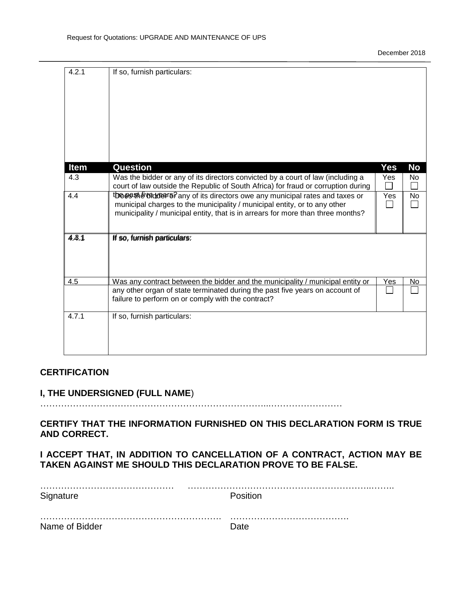| 4.2.1              | If so, furnish particulars:                                                                                                                                                                                                        |            |                 |
|--------------------|------------------------------------------------------------------------------------------------------------------------------------------------------------------------------------------------------------------------------------|------------|-----------------|
| <b>Item</b><br>4.3 | <b>Question</b><br>Was the bidder or any of its directors convicted by a court of law (including a<br>court of law outside the Republic of South Africa) for fraud or corruption during                                            | Yes<br>Yes | <b>No</b><br>No |
| 4.4                | tbesestived that is directors owe any municipal rates and taxes or<br>municipal charges to the municipality / municipal entity, or to any other<br>municipality / municipal entity, that is in arrears for more than three months? | Yes        | No              |
| 4.3.1              | If so, furnish particulars:                                                                                                                                                                                                        |            |                 |
| 4.5                | Was any contract between the bidder and the municipality / municipal entity or<br>any other organ of state terminated during the past five years on account of<br>failure to perform on or comply with the contract?               | Yes        | No              |
| 4.7.1              | If so, furnish particulars:                                                                                                                                                                                                        |            |                 |

# **CERTIFICATION**

### **I, THE UNDERSIGNED (FULL NAME**)

…………………………………………………………………...……………………

**CERTIFY THAT THE INFORMATION FURNISHED ON THIS DECLARATION FORM IS TRUE AND CORRECT.** 

**I ACCEPT THAT, IN ADDITION TO CANCELLATION OF A CONTRACT, ACTION MAY BE TAKEN AGAINST ME SHOULD THIS DECLARATION PROVE TO BE FALSE.** 

| Signature      | Position |
|----------------|----------|
|                |          |
| Name of Bidder | Date     |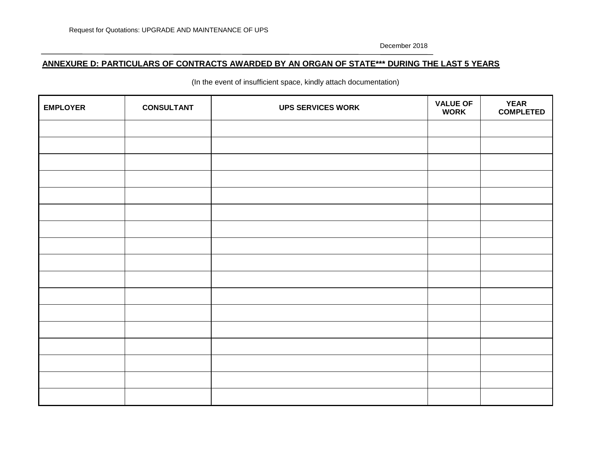### **ANNEXURE D: PARTICULARS OF CONTRACTS AWARDED BY AN ORGAN OF STATE\*\*\* DURING THE LAST 5 YEARS**

(In the event of insufficient space, kindly attach documentation)

| <b>EMPLOYER</b> | <b>CONSULTANT</b> | <b>UPS SERVICES WORK</b> | <b>VALUE OF</b><br><b>WORK</b> | <b>YEAR</b><br><b>COMPLETED</b> |
|-----------------|-------------------|--------------------------|--------------------------------|---------------------------------|
|                 |                   |                          |                                |                                 |
|                 |                   |                          |                                |                                 |
|                 |                   |                          |                                |                                 |
|                 |                   |                          |                                |                                 |
|                 |                   |                          |                                |                                 |
|                 |                   |                          |                                |                                 |
|                 |                   |                          |                                |                                 |
|                 |                   |                          |                                |                                 |
|                 |                   |                          |                                |                                 |
|                 |                   |                          |                                |                                 |
|                 |                   |                          |                                |                                 |
|                 |                   |                          |                                |                                 |
|                 |                   |                          |                                |                                 |
|                 |                   |                          |                                |                                 |
|                 |                   |                          |                                |                                 |
|                 |                   |                          |                                |                                 |
|                 |                   |                          |                                |                                 |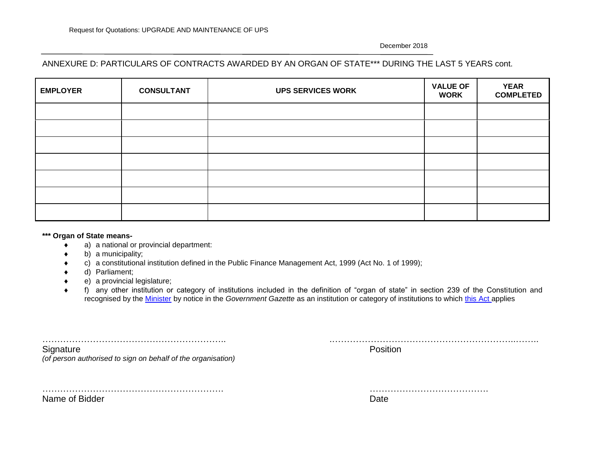### ANNEXURE D: PARTICULARS OF CONTRACTS AWARDED BY AN ORGAN OF STATE\*\*\* DURING THE LAST 5 YEARS cont.

| <b>EMPLOYER</b> | <b>CONSULTANT</b> | <b>UPS SERVICES WORK</b> | <b>VALUE OF</b><br><b>WORK</b> | <b>YEAR</b><br><b>COMPLETED</b> |
|-----------------|-------------------|--------------------------|--------------------------------|---------------------------------|
|                 |                   |                          |                                |                                 |
|                 |                   |                          |                                |                                 |
|                 |                   |                          |                                |                                 |
|                 |                   |                          |                                |                                 |
|                 |                   |                          |                                |                                 |
|                 |                   |                          |                                |                                 |
|                 |                   |                          |                                |                                 |

#### **\*\*\* Organ of State means-**

- a) a national or provincial department:
- b) a municipality;
- c) a constitutional institution defined in the Public Finance Management Act, 1999 (Act No. 1 of 1999);
- d) Parliament;
- e) a provincial legislature;
- f) any other institution or category of institutions included in the definition of "organ of state" in section 239 of the Constitution and recognised by the [Minister](javascript:void(0);) by notice in the *Government Gazette* as an institution or category of institutions to which [this Act](javascript:void(0);) applies

| Signature<br>(of person authorised to sign on behalf of the organisation) | Position |  |  |
|---------------------------------------------------------------------------|----------|--|--|
|                                                                           |          |  |  |
| Name of Bidder                                                            | Date     |  |  |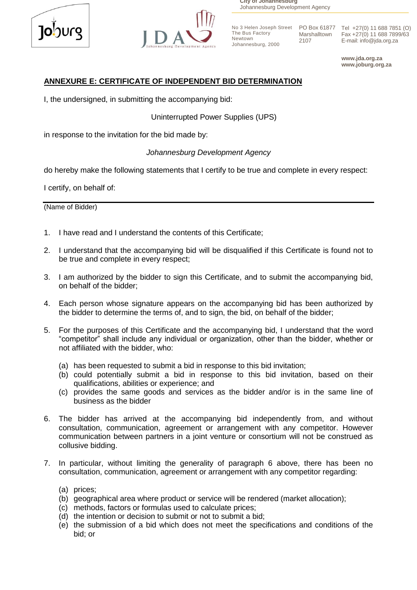



**City of Johannesburg** Johannesburg Development Agency

The Bus Factory Newtown Johannesburg, 2000 Marshalltown 2107

No 3 Helen Joseph Street PO Box 61877 Tel +27(0) 11 688 7851 (O) Fax +27(0) 11 688 7899/63 E-mail: info@jda.org.za

> **www.jda.org.za www.joburg.org.za**

# **ANNEXURE E: CERTIFICATE OF INDEPENDENT BID DETERMINATION**

I, the undersigned, in submitting the accompanying bid:

**Uninterrupted Power Supplies (UPS)** 

in response to the invitation for the bid made by:

# *Johannesburg Development Agency*

do hereby make the following statements that I certify to be true and complete in every respect:

I certify, on behalf of:

(Name of Bidder)

- 1. I have read and I understand the contents of this Certificate;
- 2. I understand that the accompanying bid will be disqualified if this Certificate is found not to be true and complete in every respect;
- 3. I am authorized by the bidder to sign this Certificate, and to submit the accompanying bid, on behalf of the bidder;
- 4. Each person whose signature appears on the accompanying bid has been authorized by the bidder to determine the terms of, and to sign, the bid, on behalf of the bidder;
- 5. For the purposes of this Certificate and the accompanying bid, I understand that the word "competitor" shall include any individual or organization, other than the bidder, whether or not affiliated with the bidder, who:
	- (a) has been requested to submit a bid in response to this bid invitation;
	- (b) could potentially submit a bid in response to this bid invitation, based on their qualifications, abilities or experience; and
	- (c) provides the same goods and services as the bidder and/or is in the same line of business as the bidder
- 6. The bidder has arrived at the accompanying bid independently from, and without consultation, communication, agreement or arrangement with any competitor. However communication between partners in a joint venture or consortium will not be construed as collusive bidding.
- 7. In particular, without limiting the generality of paragraph 6 above, there has been no consultation, communication, agreement or arrangement with any competitor regarding:
	- (a) prices;
	- (b) geographical area where product or service will be rendered (market allocation);
	- (c) methods, factors or formulas used to calculate prices;
	- (d) the intention or decision to submit or not to submit a bid;
	- (e) the submission of a bid which does not meet the specifications and conditions of the bid; or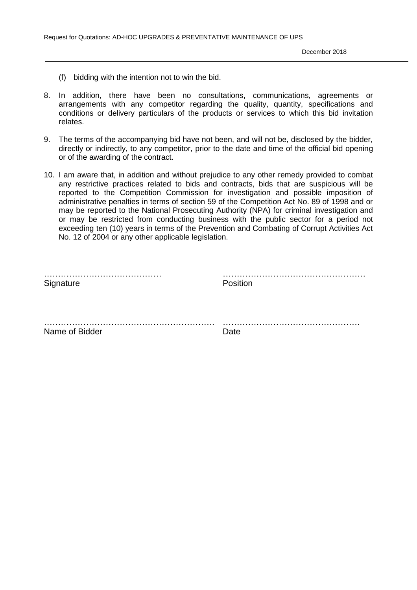- (f) bidding with the intention not to win the bid.
- 8. In addition, there have been no consultations, communications, agreements or arrangements with any competitor regarding the quality, quantity, specifications and conditions or delivery particulars of the products or services to which this bid invitation relates.
- 9. The terms of the accompanying bid have not been, and will not be, disclosed by the bidder, directly or indirectly, to any competitor, prior to the date and time of the official bid opening or of the awarding of the contract.
- 10. I am aware that, in addition and without prejudice to any other remedy provided to combat any restrictive practices related to bids and contracts, bids that are suspicious will be reported to the Competition Commission for investigation and possible imposition of administrative penalties in terms of section 59 of the Competition Act No. 89 of 1998 and or may be reported to the National Prosecuting Authority (NPA) for criminal investigation and or may be restricted from conducting business with the public sector for a period not exceeding ten (10) years in terms of the Prevention and Combating of Corrupt Activities Act No. 12 of 2004 or any other applicable legislation.

| Signature      | Position |  |
|----------------|----------|--|
| .              | .        |  |
| Name of Bidder | Date     |  |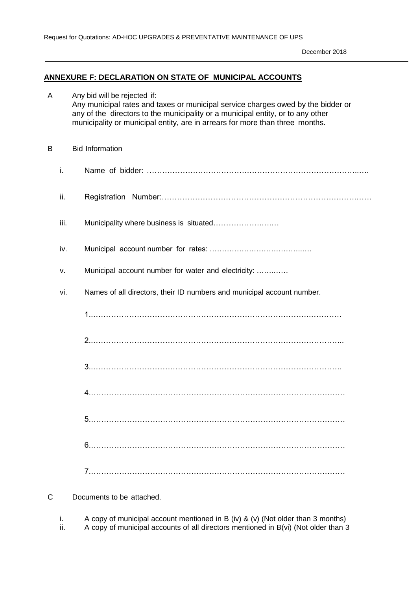### **ANNEXURE F: DECLARATION ON STATE OF MUNICIPAL ACCOUNTS**

| A |      | Any bid will be rejected if:<br>Any municipal rates and taxes or municipal service charges owed by the bidder or<br>any of the directors to the municipality or a municipal entity, or to any other<br>municipality or municipal entity, are in arrears for more than three months. |
|---|------|-------------------------------------------------------------------------------------------------------------------------------------------------------------------------------------------------------------------------------------------------------------------------------------|
| B |      | <b>Bid Information</b>                                                                                                                                                                                                                                                              |
|   | i.   |                                                                                                                                                                                                                                                                                     |
|   | ii.  |                                                                                                                                                                                                                                                                                     |
|   | iii. | Municipality where business is situated                                                                                                                                                                                                                                             |
|   | iv.  |                                                                                                                                                                                                                                                                                     |
|   | v.   | Municipal account number for water and electricity:                                                                                                                                                                                                                                 |
|   | vi.  | Names of all directors, their ID numbers and municipal account number.                                                                                                                                                                                                              |
|   |      |                                                                                                                                                                                                                                                                                     |
|   |      |                                                                                                                                                                                                                                                                                     |
|   |      |                                                                                                                                                                                                                                                                                     |
|   |      |                                                                                                                                                                                                                                                                                     |
|   |      |                                                                                                                                                                                                                                                                                     |
|   |      |                                                                                                                                                                                                                                                                                     |
|   |      |                                                                                                                                                                                                                                                                                     |

C Documents to be attached.

i. A copy of municipal account mentioned in B (iv) & (v) (Not older than 3 months) ii. A copy of municipal accounts of all directors mentioned in B(vi) (Not older than 3 A copy of municipal accounts of all directors mentioned in B(vi) (Not older than 3